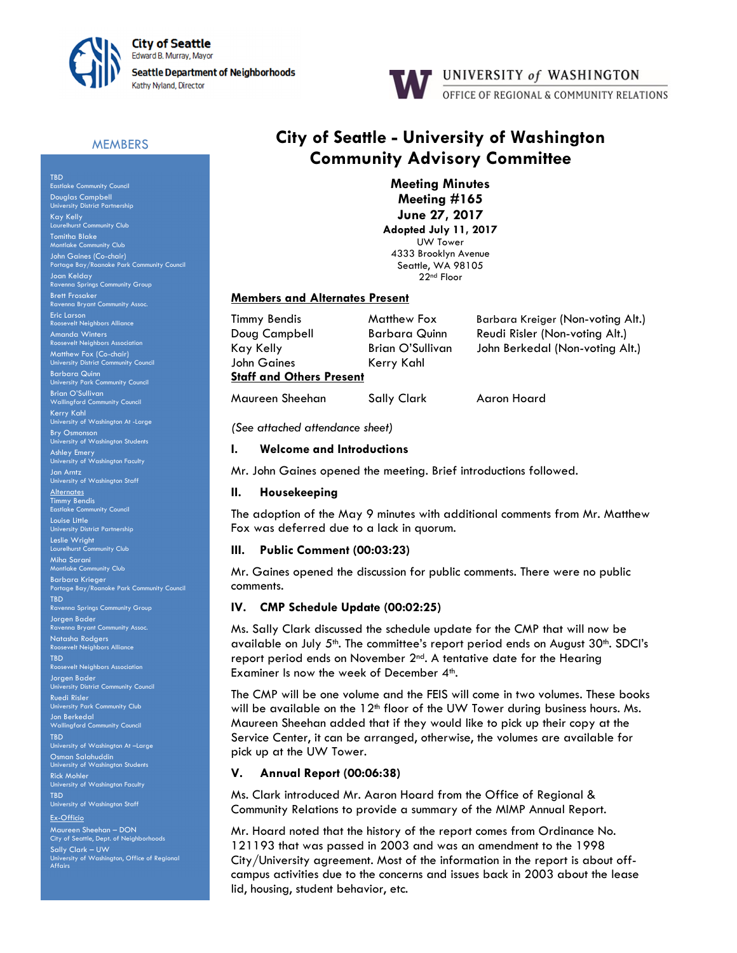



# **MEMBERS**

TBD Eastlake Community Council Douglas Campbell University District Partnership Kay Kelly<br>Laurelhurst Community Club Tomitha Blake Montlake Community Club John Gaines (Co-chair) Portage Bay/Roanoke Park Community Council Joan Kelday Ravenna Springs Community Group Brett Frosaker Eric Larson .<br>Neighbors Allic Amanda Winters Revelt Neighbors As Matthew Fox (Co-chair) University District Community Council Barbara Quinn University Park Community Council Brian O'Sullivan Wallingford Community Council Kerry Kahl University of Washington At -Large Bry Osmonson University of Washington Students As<mark>hley Emery</mark><br>University of Washington Faculty <mark>Jan Arntz</mark><br>University of Washington Staff **Alternates** Timmy Bendis Eastlake Community Council Louise Little University District Partnership Leslie Wright<br>Laurelhurst Community Club Miha Sarani Montlake Community Club Barbara Krieger Portage Bay/Roanoke Park Community Council TBD Ravenna Springs Community Group Jorgen Bader nna Bryant Community Assoc. Natasha Rodgers psevelt Neighbors Alliance TBD sevelt Neighbors Association Jorgen Bader ersity District Community Council Ruedi Risler University Park Community Club Jon Berkedal Wallingford Community Council TBD University of Washington At –Large Osman Salahuddin University of Washington Students Rick Mohler<br>University of Washington Faculty TBD University of Washington Staff Ex-Officio Maureen Sheehan – DON City of Seattle, Dept. of Neighborhoods Sally Clark – UW University of Washington, Office of Regional

Affairs

# City of Seattle - University of Washington Community Advisory Committee

Meeting Minutes Meeting #165 June 27, 2017 Adopted July 11, 2017 UW Tower 4333 Brooklyn Avenue Seattle, WA 98105 22nd Floor

#### Members and Alternates Present

John Gaines Kerry Kahl **Staff and Others Present** 

Timmy Bendis Matthew Fox Barbara Kreiger (Non-voting Alt.) Doug Campbell Barbara Quinn Reudi Risler (Non-voting Alt.)<br>Kay Kelly Brian O'Sullivan John Berkedal (Non-voting Al Kay Kelly Brian O'Sullivan John Berkedal (Non-voting Alt.)

Maureen Sheehan Sally Clark Aaron Hoard

(See attached attendance sheet)

#### I. Welcome and Introductions

Mr. John Gaines opened the meeting. Brief introductions followed.

#### II. Housekeeping

The adoption of the May 9 minutes with additional comments from Mr. Matthew Fox was deferred due to a lack in quorum.

#### III. Public Comment (00:03:23)

Mr. Gaines opened the discussion for public comments. There were no public comments.

## IV. CMP Schedule Update (00:02:25)

Ms. Sally Clark discussed the schedule update for the CMP that will now be available on July  $5<sup>th</sup>$ . The committee's report period ends on August  $30<sup>th</sup>$ . SDCI's report period ends on November 2<sup>nd</sup>. A tentative date for the Hearing Examiner Is now the week of December 4<sup>th</sup>.

The CMP will be one volume and the FEIS will come in two volumes. These books will be available on the 12<sup>th</sup> floor of the UW Tower during business hours. Ms. Maureen Sheehan added that if they would like to pick up their copy at the Service Center, it can be arranged, otherwise, the volumes are available for pick up at the UW Tower.

## V. Annual Report (00:06:38)

Ms. Clark introduced Mr. Aaron Hoard from the Office of Regional & Community Relations to provide a summary of the MIMP Annual Report.

Mr. Hoard noted that the history of the report comes from Ordinance No. 121193 that was passed in 2003 and was an amendment to the 1998 City/University agreement. Most of the information in the report is about offcampus activities due to the concerns and issues back in 2003 about the lease lid, housing, student behavior, etc.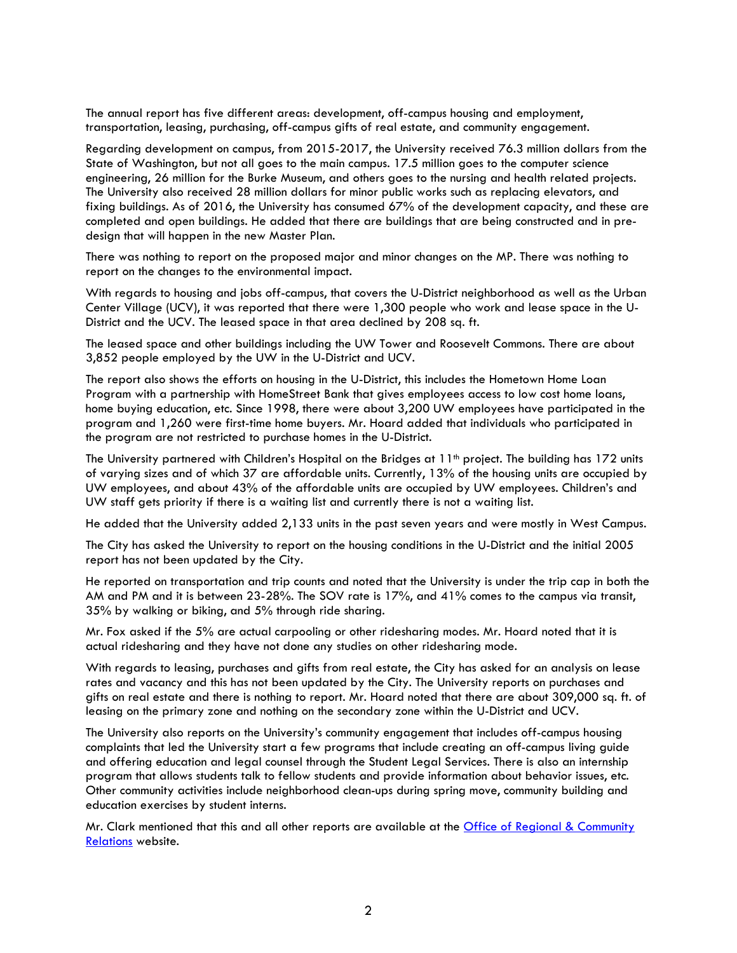The annual report has five different areas: development, off-campus housing and employment, transportation, leasing, purchasing, off-campus gifts of real estate, and community engagement.

Regarding development on campus, from 2015-2017, the University received 76.3 million dollars from the State of Washington, but not all goes to the main campus. 17.5 million goes to the computer science engineering, 26 million for the Burke Museum, and others goes to the nursing and health related projects. The University also received 28 million dollars for minor public works such as replacing elevators, and fixing buildings. As of 2016, the University has consumed 67% of the development capacity, and these are completed and open buildings. He added that there are buildings that are being constructed and in predesign that will happen in the new Master Plan.

There was nothing to report on the proposed major and minor changes on the MP. There was nothing to report on the changes to the environmental impact.

With regards to housing and jobs off-campus, that covers the U-District neighborhood as well as the Urban Center Village (UCV), it was reported that there were 1,300 people who work and lease space in the U-District and the UCV. The leased space in that area declined by 208 sq. ft.

The leased space and other buildings including the UW Tower and Roosevelt Commons. There are about 3,852 people employed by the UW in the U-District and UCV.

The report also shows the efforts on housing in the U-District, this includes the Hometown Home Loan Program with a partnership with HomeStreet Bank that gives employees access to low cost home loans, home buying education, etc. Since 1998, there were about 3,200 UW employees have participated in the program and 1,260 were first-time home buyers. Mr. Hoard added that individuals who participated in the program are not restricted to purchase homes in the U-District.

The University partnered with Children's Hospital on the Bridges at 11<sup>th</sup> project. The building has 172 units of varying sizes and of which 37 are affordable units. Currently, 13% of the housing units are occupied by UW employees, and about 43% of the affordable units are occupied by UW employees. Children's and UW staff gets priority if there is a waiting list and currently there is not a waiting list.

He added that the University added 2,133 units in the past seven years and were mostly in West Campus.

The City has asked the University to report on the housing conditions in the U-District and the initial 2005 report has not been updated by the City.

He reported on transportation and trip counts and noted that the University is under the trip cap in both the AM and PM and it is between 23-28%. The SOV rate is 17%, and 41% comes to the campus via transit, 35% by walking or biking, and 5% through ride sharing.

Mr. Fox asked if the 5% are actual carpooling or other ridesharing modes. Mr. Hoard noted that it is actual ridesharing and they have not done any studies on other ridesharing mode.

With regards to leasing, purchases and gifts from real estate, the City has asked for an analysis on lease rates and vacancy and this has not been updated by the City. The University reports on purchases and gifts on real estate and there is nothing to report. Mr. Hoard noted that there are about 309,000 sq. ft. of leasing on the primary zone and nothing on the secondary zone within the U-District and UCV.

The University also reports on the University's community engagement that includes off-campus housing complaints that led the University start a few programs that include creating an off-campus living guide and offering education and legal counsel through the Student Legal Services. There is also an internship program that allows students talk to fellow students and provide information about behavior issues, etc. Other community activities include neighborhood clean-ups during spring move, community building and education exercises by student interns.

Mr. Clark mentioned that this and all other reports are available at the Office of Regional & Community Relations website.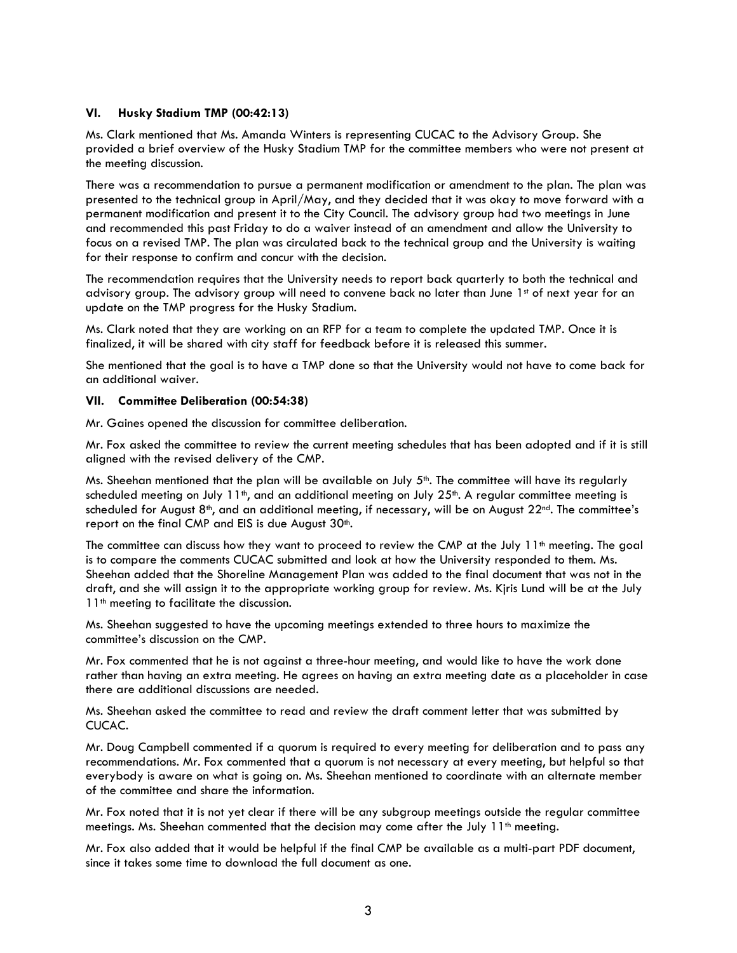# VI. Husky Stadium TMP (00:42:13)

Ms. Clark mentioned that Ms. Amanda Winters is representing CUCAC to the Advisory Group. She provided a brief overview of the Husky Stadium TMP for the committee members who were not present at the meeting discussion.

There was a recommendation to pursue a permanent modification or amendment to the plan. The plan was presented to the technical group in April/May, and they decided that it was okay to move forward with a permanent modification and present it to the City Council. The advisory group had two meetings in June and recommended this past Friday to do a waiver instead of an amendment and allow the University to focus on a revised TMP. The plan was circulated back to the technical group and the University is waiting for their response to confirm and concur with the decision.

The recommendation requires that the University needs to report back quarterly to both the technical and advisory group. The advisory group will need to convene back no later than June 1st of next year for an update on the TMP progress for the Husky Stadium.

Ms. Clark noted that they are working on an RFP for a team to complete the updated TMP. Once it is finalized, it will be shared with city staff for feedback before it is released this summer.

She mentioned that the goal is to have a TMP done so that the University would not have to come back for an additional waiver.

## VII. Committee Deliberation (00:54:38)

Mr. Gaines opened the discussion for committee deliberation.

Mr. Fox asked the committee to review the current meeting schedules that has been adopted and if it is still aligned with the revised delivery of the CMP.

Ms. Sheehan mentioned that the plan will be available on July 5th. The committee will have its regularly scheduled meeting on July  $11<sup>th</sup>$ , and an additional meeting on July 25<sup>th</sup>. A regular committee meeting is scheduled for August 8<sup>th</sup>, and an additional meeting, if necessary, will be on August 22<sup>nd</sup>. The committee's report on the final CMP and EIS is due August 30<sup>th</sup>.

The committee can discuss how they want to proceed to review the CMP at the July  $11<sup>th</sup>$  meeting. The goal is to compare the comments CUCAC submitted and look at how the University responded to them. Ms. Sheehan added that the Shoreline Management Plan was added to the final document that was not in the draft, and she will assign it to the appropriate working group for review. Ms. Kjris Lund will be at the July 11<sup>th</sup> meeting to facilitate the discussion.

Ms. Sheehan suggested to have the upcoming meetings extended to three hours to maximize the committee's discussion on the CMP.

Mr. Fox commented that he is not against a three-hour meeting, and would like to have the work done rather than having an extra meeting. He agrees on having an extra meeting date as a placeholder in case there are additional discussions are needed.

Ms. Sheehan asked the committee to read and review the draft comment letter that was submitted by CUCAC.

Mr. Doug Campbell commented if a quorum is required to every meeting for deliberation and to pass any recommendations. Mr. Fox commented that a quorum is not necessary at every meeting, but helpful so that everybody is aware on what is going on. Ms. Sheehan mentioned to coordinate with an alternate member of the committee and share the information.

Mr. Fox noted that it is not yet clear if there will be any subgroup meetings outside the regular committee meetings. Ms. Sheehan commented that the decision may come after the July  $11<sup>th</sup>$  meeting.

Mr. Fox also added that it would be helpful if the final CMP be available as a multi-part PDF document, since it takes some time to download the full document as one.